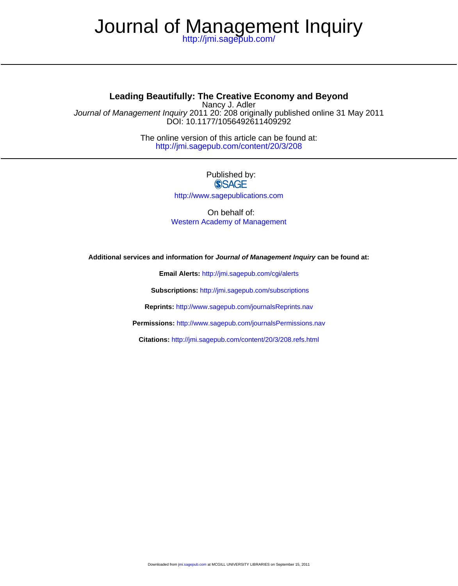# Journal of Management Inquiry

<http://jmi.sagepub.com/>

DOI: 10.1177/1056492611409292 Journal of Management Inquiry 2011 20: 208 originally published online 31 May 2011 Nancy J. Adler **Leading Beautifully: The Creative Economy and Beyond**

> <http://jmi.sagepub.com/content/20/3/208> The online version of this article can be found at:

> > Published by: **SSAGE** <http://www.sagepublications.com>

On behalf of: [Western Academy of Management](http://www.wamonline.org/)

**Additional services and information for Journal of Management Inquiry can be found at:**

**Email Alerts:** <http://jmi.sagepub.com/cgi/alerts>

**Subscriptions:** <http://jmi.sagepub.com/subscriptions>

**Reprints:** <http://www.sagepub.com/journalsReprints.nav>

**Permissions:** <http://www.sagepub.com/journalsPermissions.nav>

**Citations:** <http://jmi.sagepub.com/content/20/3/208.refs.html>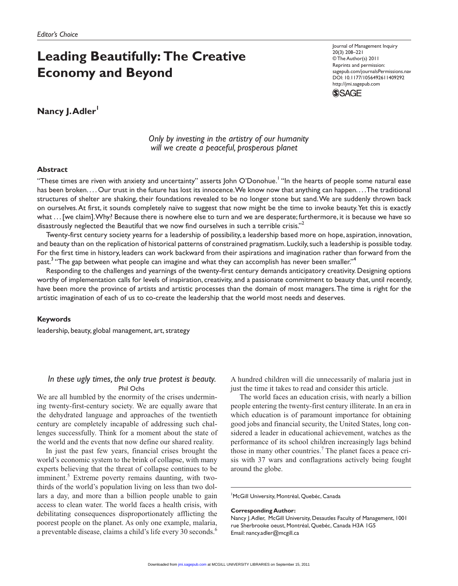## **Leading Beautifully: The Creative Economy and Beyond**

Journal of Management Inquiry 20(3) 208–221 © The Author(s) 2011 Reprints and permission: sagepub.com/journalsPermissions.nav DOI: 10.1177/1056492611409292 http://jmi.sagepub.com



**Nancy J. Adler<sup>1</sup>** 

*Only by investing in the artistry of our humanity will we create a peaceful, prosperous planet*

## **Abstract**

"These times are riven with anxiety and uncertainty" asserts John O'Donohue.<sup>1</sup> "In the hearts of people some natural ease has been broken.... Our trust in the future has lost its innocence. We know now that anything can happen....The traditional structures of shelter are shaking, their foundations revealed to be no longer stone but sand. We are suddenly thrown back on ourselves. At first, it sounds completely naïve to suggest that now might be the time to invoke beauty. Yet this is exactly what ... [we claim]. Why? Because there is nowhere else to turn and we are desperate; furthermore, it is because we have so disastrously neglected the Beautiful that we now find ourselves in such a terrible crisis."<sup>2</sup>

Twenty-first century society yearns for a leadership of possibility, a leadership based more on hope, aspiration, innovation, and beauty than on the replication of historical patterns of constrained pragmatism. Luckily, such a leadership is possible today. For the first time in history, leaders can work backward from their aspirations and imagination rather than forward from the past.<sup>3</sup> "The gap between what people can imagine and what they can accomplish has never been smaller."<sup>4</sup>

Responding to the challenges and yearnings of the twenty-first century demands anticipatory creativity. Designing options worthy of implementation calls for levels of inspiration, creativity, and a passionate commitment to beauty that, until recently, have been more the province of artists and artistic processes than the domain of most managers. The time is right for the artistic imagination of each of us to co-create the leadership that the world most needs and deserves.

## **Keywords**

leadership, beauty, global management, art, strategy

## *In these ugly times, the only true protest is beauty.* Phil Ochs

We are all humbled by the enormity of the crises undermining twenty-first-century society. We are equally aware that the dehydrated language and approaches of the twentieth century are completely incapable of addressing such challenges successfully. Think for a moment about the state of the world and the events that now define our shared reality.

In just the past few years, financial crises brought the world's economic system to the brink of collapse, with many experts believing that the threat of collapse continues to be imminent.<sup>5</sup> Extreme poverty remains daunting, with twothirds of the world's population living on less than two dollars a day, and more than a billion people unable to gain access to clean water. The world faces a health crisis, with debilitating consequences disproportionately afflicting the poorest people on the planet. As only one example, malaria, a preventable disease, claims a child's life every 30 seconds.<sup>6</sup> A hundred children will die unnecessarily of malaria just in just the time it takes to read and consider this article.

The world faces an education crisis, with nearly a billion people entering the twenty-first century illiterate. In an era in which education is of paramount importance for obtaining good jobs and financial security, the United States, long considered a leader in educational achievement, watches as the performance of its school children increasingly lags behind those in many other countries.<sup>7</sup> The planet faces a peace crisis with 37 wars and conflagrations actively being fought around the globe.

1 McGill University, Montréal, Quebéc, Canada

#### **Corresponding Author:**

Nancy J. Adler, McGill University, Desautles Faculty of Management, 1001 rue Sherbrooke oeust, Montréal, Quebéc, Canada H3A 1G5 Email: nancy.adler@mcgill.ca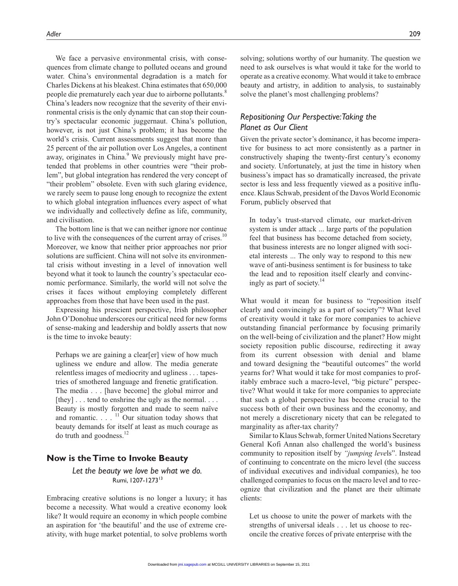We face a pervasive environmental crisis, with consequences from climate change to polluted oceans and ground water. China's environmental degradation is a match for Charles Dickens at his bleakest. China estimates that 650,000 people die prematurely each year due to airborne pollutants.<sup>8</sup> China's leaders now recognize that the severity of their environmental crisis is the only dynamic that can stop their country's spectacular economic juggernaut. China's pollution, however, is not just China's problem; it has become the world's crisis. Current assessments suggest that more than 25 percent of the air pollution over Los Angeles, a continent away, originates in China.<sup>9</sup> We previously might have pretended that problems in other countries were "their problem", but global integration has rendered the very concept of "their problem" obsolete. Even with such glaring evidence, we rarely seem to pause long enough to recognize the extent to which global integration influences every aspect of what we individually and collectively define as life, community, and civilisation.

The bottom line is that we can neither ignore nor continue to live with the consequences of the current array of crises. $10$ Moreover, we know that neither prior approaches nor prior solutions are sufficient. China will not solve its environmental crisis without investing in a level of innovation well beyond what it took to launch the country's spectacular economic performance. Similarly, the world will not solve the crises it faces without employing completely different approaches from those that have been used in the past.

Expressing his prescient perspective, Irish philosopher John O'Donohue underscores our critical need for new forms of sense-making and leadership and boldly asserts that now is the time to invoke beauty:

Perhaps we are gaining a clear[er] view of how much ugliness we endure and allow. The media generate relentless images of mediocrity and ugliness . . . tapestries of smothered language and frenetic gratification. The media . . . [have become] the global mirror and [they] . . . tend to enshrine the ugly as the normal. . . . Beauty is mostly forgotten and made to seem naïve and romantic.  $\ldots$  <sup>11</sup> Our situation today shows that beauty demands for itself at least as much courage as do truth and goodness. $^{12}$ 

## **Now is the Time to Invoke Beauty**

## *Let the beauty we love be what we do.* Rumi, 1207-127313

Embracing creative solutions is no longer a luxury; it has become a necessity. What would a creative economy look like? It would require an economy in which people combine an aspiration for 'the beautiful' and the use of extreme creativity, with huge market potential, to solve problems worth

solving; solutions worthy of our humanity. The question we need to ask ourselves is what would it take for the world to operate as a creative economy. What would it take to embrace beauty and artistry, in addition to analysis, to sustainably solve the planet's most challenging problems?

## *Repositioning Our Perspective: Taking the Planet as Our Client*

Given the private sector's dominance, it has become imperative for business to act more consistently as a partner in constructively shaping the twenty-first century's economy and society. Unfortunately, at just the time in history when business's impact has so dramatically increased, the private sector is less and less frequently viewed as a positive influence. Klaus Schwab, president of the Davos World Economic Forum, publicly observed that

In today's trust-starved climate, our market-driven system is under attack ... large parts of the population feel that business has become detached from society, that business interests are no longer aligned with societal interests ... The only way to respond to this new wave of anti-business sentiment is for business to take the lead and to reposition itself clearly and convincingly as part of society.<sup>14</sup>

What would it mean for business to "reposition itself clearly and convincingly as a part of society"? What level of creativity would it take for more companies to achieve outstanding financial performance by focusing primarily on the well-being of civilization and the planet? How might society reposition public discourse, redirecting it away from its current obsession with denial and blame and toward designing the "beautiful outcomes" the world yearns for? What would it take for most companies to profitably embrace such a macro-level, "big picture" perspective? What would it take for more companies to appreciate that such a global perspective has become crucial to the success both of their own business and the economy, and not merely a discretionary nicety that can be relegated to marginality as after-tax charity?

Similar to Klaus Schwab, former United Nations Secretary General Kofi Annan also challenged the world's business community to reposition itself by *"jumping leve*ls". Instead of continuing to concentrate on the micro level (the success of individual executives and individual companies), he too challenged companies to focus on the macro level and to recognize that civilization and the planet are their ultimate clients:

Let us choose to unite the power of markets with the strengths of universal ideals . . . let us choose to reconcile the creative forces of private enterprise with the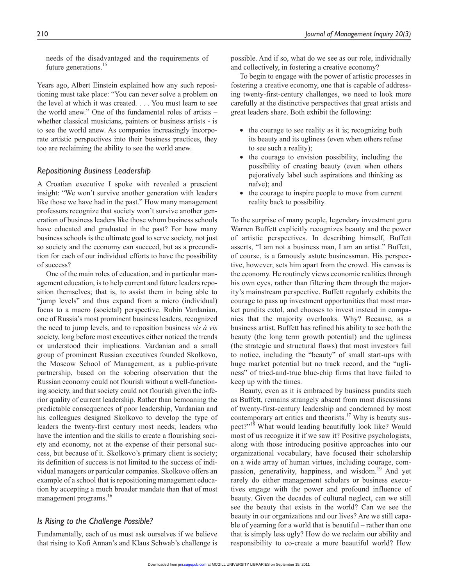needs of the disadvantaged and the requirements of future generations.<sup>15</sup>

Years ago, Albert Einstein explained how any such repositioning must take place: "You can never solve a problem on the level at which it was created. . . . You must learn to see the world anew." One of the fundamental roles of artists – whether classical musicians, painters or business artists - is to see the world anew. As companies increasingly incorporate artistic perspectives into their business practices, they too are reclaiming the ability to see the world anew.

## *Repositioning Business Leadership*

A Croatian executive I spoke with revealed a prescient insight: "We won't survive another generation with leaders like those we have had in the past." How many management professors recognize that society won't survive another generation of business leaders like those whom business schools have educated and graduated in the past? For how many business schools is the ultimate goal to serve society, not just so society and the economy can succeed, but as a precondition for each of our individual efforts to have the possibility of success?

One of the main roles of education, and in particular management education, is to help current and future leaders reposition themselves; that is, to assist them in being able to "jump levels" and thus expand from a micro (individual) focus to a macro (societal) perspective. Rubin Vardanian, one of Russia's most prominent business leaders, recognized the need to jump levels, and to reposition business *vis à vis* society, long before most executives either noticed the trends or understood their implications. Vardanian and a small group of prominent Russian executives founded Skolkovo, the Moscow School of Management, as a public-private partnership, based on the sobering observation that the Russian economy could not flourish without a well-functioning society, and that society could not flourish given the inferior quality of current leadership. Rather than bemoaning the predictable consequences of poor leadership, Vardanian and his colleagues designed Skolkovo to develop the type of leaders the twenty-first century most needs; leaders who have the intention and the skills to create a flourishing society and economy, not at the expense of their personal success, but because of it. Skolkovo's primary client is society; its definition of success is not limited to the success of individual managers or particular companies. Skolkovo offers an example of a school that is repositioning management education by accepting a much broader mandate than that of most management programs.<sup>16</sup>

## *Is Rising to the Challenge Possible?*

Fundamentally, each of us must ask ourselves if we believe that rising to Kofi Annan's and Klaus Schwab's challenge is possible. And if so, what do we see as our role, individually and collectively, in fostering a creative economy?

To begin to engage with the power of artistic processes in fostering a creative economy, one that is capable of addressing twenty-first-century challenges, we need to look more carefully at the distinctive perspectives that great artists and great leaders share. Both exhibit the following:

- the courage to see reality as it is; recognizing both its beauty and its ugliness (even when others refuse to see such a reality);
- the courage to envision possibility, including the possibility of creating beauty (even when others pejoratively label such aspirations and thinking as naïve); and
- the courage to inspire people to move from current reality back to possibility.

To the surprise of many people, legendary investment guru Warren Buffett explicitly recognizes beauty and the power of artistic perspectives. In describing himself, Buffett asserts, "I am not a business man, I am an artist." Buffett, of course, is a famously astute businessman. His perspective, however, sets him apart from the crowd. His canvas is the economy. He routinely views economic realities through his own eyes, rather than filtering them through the majority's mainstream perspective. Buffett regularly exhibits the courage to pass up investment opportunities that most market pundits extol, and chooses to invest instead in companies that the majority overlooks. Why? Because, as a business artist, Buffett has refined his ability to see both the beauty (the long term growth potential) and the ugliness (the strategic and structural flaws) that most investors fail to notice, including the "beauty" of small start-ups with huge market potential but no track record, and the "ugliness" of tried-and-true blue-chip firms that have failed to keep up with the times.

Beauty, even as it is embraced by business pundits such as Buffett, remains strangely absent from most discussions of twenty-first-century leadership and condemned by most contemporary art critics and theorists.<sup>17</sup> Why is beauty suspect?"<sup>18</sup> What would leading beautifully look like? Would most of us recognize it if we saw it? Positive psychologists, along with those introducing positive approaches into our organizational vocabulary, have focused their scholarship on a wide array of human virtues, including courage, compassion, generativity, happiness, and wisdom.<sup>19</sup> And yet rarely do either management scholars or business executives engage with the power and profound influence of beauty. Given the decades of cultural neglect, can we still see the beauty that exists in the world? Can we see the beauty in our organizations and our lives? Are we still capable of yearning for a world that is beautiful – rather than one that is simply less ugly? How do we reclaim our ability and responsibility to co-create a more beautiful world? How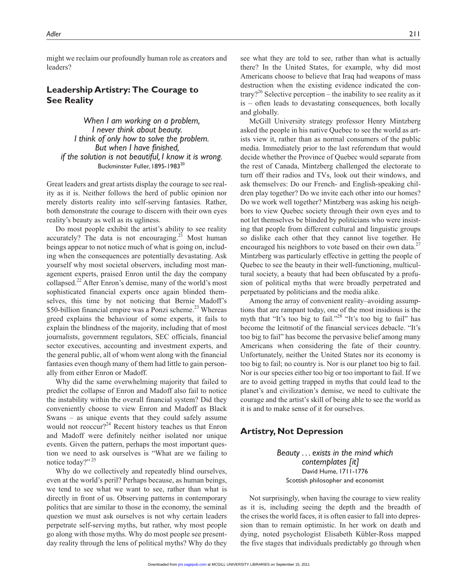might we reclaim our profoundly human role as creators and leaders?

## **Leadership Artistry: The Courage to See Reality**

*When I am working on a problem, I never think about beauty. I think of only how to solve the problem. But when I have finished, if the solution is not beautiful, I know it is wrong.* Buckminster Fuller, 1895-1983<sup>20</sup>

Great leaders and great artists display the courage to see reality as it is. Neither follows the herd of public opinion nor merely distorts reality into self-serving fantasies. Rather, both demonstrate the courage to discern with their own eyes reality's beauty as well as its ugliness.

Do most people exhibit the artist's ability to see reality accurately? The data is not encouraging. $21$  Most human beings appear to not notice much of what is going on, including when the consequences are potentially devastating. Ask yourself why most societal observers, including most management experts, praised Enron until the day the company collapsed.22 After Enron's demise, many of the world's most sophisticated financial experts once again blinded themselves, this time by not noticing that Bernie Madoff's \$50-billion financial empire was a Ponzi scheme.<sup>23</sup> Whereas greed explains the behaviour of some experts, it fails to explain the blindness of the majority, including that of most journalists, government regulators, SEC officials, financial sector executives, accounting and investment experts, and the general public, all of whom went along with the financial fantasies even though many of them had little to gain personally from either Enron or Madoff.

Why did the same overwhelming majority that failed to predict the collapse of Enron and Madoff also fail to notice the instability within the overall financial system? Did they conveniently choose to view Enron and Madoff as Black Swans – as unique events that they could safely assume would not reoccur?<sup>24</sup> Recent history teaches us that Enron and Madoff were definitely neither isolated nor unique events. Given the pattern, perhaps the most important question we need to ask ourselves is "What are we failing to notice today?" 25

Why do we collectively and repeatedly blind ourselves, even at the world's peril? Perhaps because, as human beings, we tend to see what we want to see, rather than what is directly in front of us. Observing patterns in contemporary politics that are similar to those in the economy, the seminal question we must ask ourselves is not why certain leaders perpetrate self-serving myths, but rather, why most people go along with those myths. Why do most people see presentday reality through the lens of political myths? Why do they see what they are told to see, rather than what is actually there? In the United States, for example, why did most Americans choose to believe that Iraq had weapons of mass destruction when the existing evidence indicated the contrary?<sup>26</sup> Selective perception – the inability to see reality as it is – often leads to devastating consequences, both locally and globally.

McGill University strategy professor Henry Mintzberg asked the people in his native Quebec to see the world as artists view it, rather than as normal consumers of the public media. Immediately prior to the last referendum that would decide whether the Province of Quebec would separate from the rest of Canada, Mintzberg challenged the electorate to turn off their radios and TVs, look out their windows, and ask themselves: Do our French- and English-speaking children play together? Do we invite each other into our homes? Do we work well together? Mintzberg was asking his neighbors to view Quebec society through their own eyes and to not let themselves be blinded by politicians who were insisting that people from different cultural and linguistic groups so dislike each other that they cannot live together. He encouraged his neighbors to vote based on their own data.<sup>27</sup> Mintzberg was particularly effective in getting the people of Quebec to see the beauty in their well-functioning, multicultural society, a beauty that had been obfuscated by a profusion of political myths that were broadly perpetrated and perpetuated by politicians and the media alike.

Among the array of convenient reality–avoiding assumptions that are rampant today, one of the most insidious is the myth that "It's too big to fail."<sup>28</sup> "It's too big to fail" has become the leitmotif of the financial services debacle. "It's too big to fail" has become the pervasive belief among many Americans when considering the fate of their country. Unfortunately, neither the United States nor its economy is too big to fail; no country is. Nor is our planet too big to fail. Nor is our species either too big or too important to fail. If we are to avoid getting trapped in myths that could lead to the planet's and civilization's demise, we need to cultivate the courage and the artist's skill of being able to see the world as it is and to make sense of it for ourselves.

## **Artistry, Not Depression**

*Beauty . . . exists in the mind which contemplates [it]* David Hume, 1711-1776 Scottish philosopher and economist

Not surprisingly, when having the courage to view reality as it is, including seeing the depth and the breadth of the crises the world faces, it is often easier to fall into depression than to remain optimistic. In her work on death and dying, noted psychologist Elisabeth Kübler-Ross mapped the five stages that individuals predictably go through when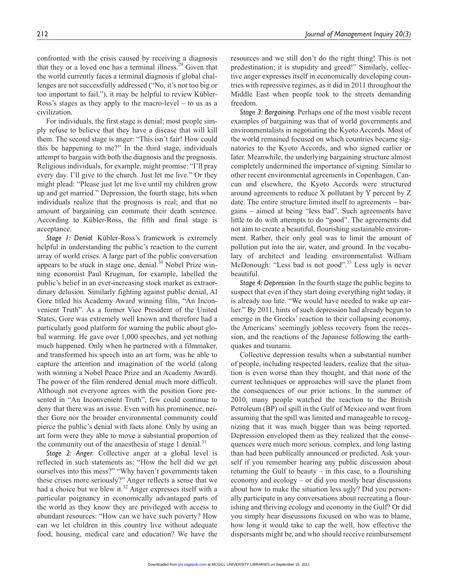confronted with the crisis caused by receiving a diagnosis that they or a loved one has a terminal illness. $29$  Given that the world currently faces a terminal diagnosis if global challenges are not successfully addressed ("No, it's not too big or too important to fail."), it may be helpful to review Kübler-Ross's stages as they apply to the macro-level – to us as a civilization.

For individuals, the first stage is denial; most people simply refuse to believe that they have a disease that will kill them. The second stage is anger: "This isn't fair! How could this be happening to me?" In the third stage, individuals attempt to bargain with both the diagnosis and the prognosis. Religious individuals, for example, might promise: "I'll pray every day. I'll give to the church. Just let me live." Or they might plead: "Please just let me live until my children grow up and get married." Depression, the fourth stage, hits when individuals realize that the prognosis is real; and that no amount of bargaining can commute their death sentence. According to Kübler-Ross, the fifth and final stage is acceptance.

*Stage 1: Denial.* Kübler-Ross's framework is extremely helpful in understanding the public's reaction to the current array of world crises. A large part of the public conversation appears to be stuck in stage one, denial.<sup>30</sup> Nobel Prize winning economist Paul Krugman, for example, labelled the public's belief in an ever-increasing stock market as extraordinary delusion. Similarly fighting against public denial, Al Gore titled his Academy Award winning film, "An Inconvenient Truth". As a former Vice President of the United States, Gore was extremely well known and therefore had a particularly good platform for warning the public about global warming. He gave over 1,000 speeches, and yet nothing much happened. Only when he partnered with a filmmaker, and transformed his speech into an art form, was he able to capture the attention and imagination of the world (along with winning a Nobel Peace Prize and an Academy Award). The power of the film rendered denial much more difficult. Although not everyone agrees with the position Gore presented in "An Inconvenient Truth", few could continue to deny that there was an issue. Even with his prominence, neither Gore nor the broader environmental community could pierce the public's denial with facts alone. Only by using an art form were they able to move a substantial proportion of the community out of the anaesthesia of stage 1 denial.<sup>31</sup>

*Stage 2: Anger.* Collective anger at a global level is reflected in such statements as: "How the hell did we get ourselves into this mess?" "Why haven't governments taken these crises more seriously?" Anger reflects a sense that we had a choice but we blew it.<sup>32</sup> Anger expresses itself with a particular poignancy in economically advantaged parts of the world as they know they are privileged with access to abundant resources: "How can we have such poverty? How can we let children in this country live without adequate food, housing, medical care and education? We have the resources and we still don't do the right thing! This is not predestination; it is stupidity and greed!" Similarly, collective anger expresses itself in economically developing countries with repressive regimes, as it did in 2011 throughout the Middle East when people took to the streets demanding freedom.

*Stage 3: Bargaining*. Perhaps one of the most visible recent examples of bargaining was that of world governments and environmentalists in negotiating the Kyoto Accords. Most of the world remained focused on which countries became signatories to the Kyoto Accords, and who signed earlier or later. Meanwhile, the underlying bargaining structure almost completely undermined the importance of signing. Similar to other recent environmental agreements in Copenhagen, Cancun and elsewhere, the Kyoto Accords were structured around agreements to reduce X pollutant by Y percent by Z date. The entire structure limited itself to agreements – bargains – aimed at being "less bad". Such agreements have little to do with attempts to do "good". The agreements did not aim to create a beautiful, flourishing sustainable environment. Rather, their only goal was to limit the amount of pollution put into the air, water, and ground. In the vocabulary of architect and leading environmentalist William McDonough: "Less bad is not good".<sup>33</sup> Less ugly is never beautiful.

*Stage 4: Depression.* In the fourth stage the public begins to suspect that even if they start doing everything right today, it is already too late. "We would have needed to wake up earlier." By 2011, hints of such depression had already begun to emerge in the Greeks' reaction to their collapsing economy, the Americans' seemingly jobless recovery from the recession, and the reactions of the Japanese following the earthquakes and tsunami.

Collective depression results when a substantial number of people, including respected leaders, realize that the situation is even worse than they thought, and that none of the current techniques or approaches will save the planet from the consequences of our prior actions. In the summer of 2010, many people watched the reaction to the British Petroleum (BP) oil spill in the Gulf of Mexico and went from assuming that the spill was limited and manageable to recognizing that it was much bigger than was being reported. Depression enveloped them as they realized that the consequences were much more serious, complex, and long lasting than had been publically announced or predicted. Ask yourself if you remember hearing any public discussion about returning the Gulf to beauty  $-$  in this case, to a flourishing economy and ecology – or did you mostly hear discussions about how to make the situation less ugly? Did you personally participate in any conversations about recreating a flourishing and thriving ecology and economy in the Gulf? Or did you simply hear discussions focused on who was to blame, how long it would take to cap the well, how effective the dispersants might be, and who should receive reimbursement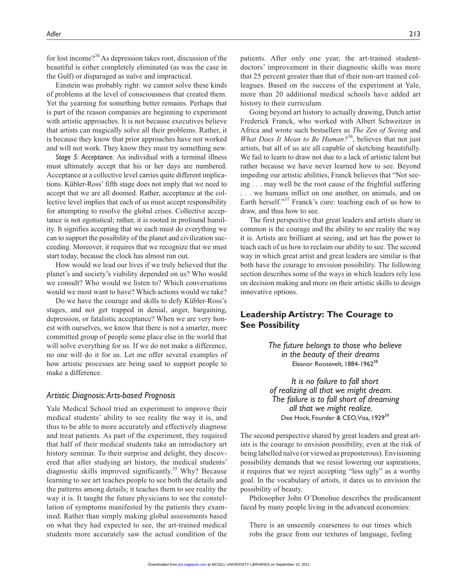for lost income?<sup>34</sup> As depression takes root, discussion of the beautiful is either completely eliminated (as was the case in the Gulf) or disparaged as naïve and impractical.

Einstein was probably right: we cannot solve these kinds of problems at the level of consciousness that created them. Yet the yearning for something better remains. Perhaps that is part of the reason companies are beginning to experiment with artistic approaches. It is not because executives believe that artists can magically solve all their problems. Rather, it is because they know that prior approaches have not worked and will not work. They know they must try something new.

*Stage 5: Acceptance.* An individual with a terminal illness must ultimately accept that his or her days are numbered. Acceptance at a collective level carries quite different implications. Kübler-Ross' fifth stage does not imply that we need to accept that we are all doomed. Rather, acceptance at the collective level implies that each of us must accept responsibility for attempting to resolve the global crises. Collective acceptance is not egotistical; rather, it is rooted in profound humility. It signifies accepting that we each must do everything we can to support the possibility of the planet and civilization succeeding. Moreover, it requires that we recognize that we must start today, because the clock has almost run out.

How would we lead our lives if we truly believed that the planet's and society's viability depended on us? Who would we consult? Who would we listen to? Which conversations would we most want to have? Which actions would we take?

Do we have the courage and skills to defy Kübler-Ross's stages, and not get trapped in denial, anger, bargaining, depression, or fatalistic acceptance? When we are very honest with ourselves, we know that there is not a smarter, more committed group of people some place else in the world that will solve everything for us. If we do not make a difference, no one will do it for us. Let me offer several examples of how artistic processes are being used to support people to make a difference.

## *Artistic Diagnosis: Arts-based Prognosis*

Yale Medical School tried an experiment to improve their medical students' ability to see reality the way it is, and thus to be able to more accurately and effectively diagnose and treat patients. As part of the experiment, they required that half of their medical students take an introductory art history seminar. To their surprise and delight, they discovered that after studying art history, the medical students' diagnostic skills improved significantly.<sup>35</sup> Why? Because learning to see art teaches people to see both the details and the patterns among details; it teaches them to see reality the way it is. It taught the future physicians to see the constellation of symptoms manifested by the patients they examined. Rather than simply making global assessments based on what they had expected to see, the art-trained medical students more accurately saw the actual condition of the

patients. After only one year, the art-trained studentdoctors' improvement in their diagnostic skills was more that 25 percent greater than that of their non-art trained colleagues. Based on the success of the experiment at Yale, more than 20 additional medical schools have added art history to their curriculum.

Going beyond art history to actually drawing, Dutch artist Frederick Franck, who worked with Albert Schweitzer in Africa and wrote such bestsellers as *The Zen of Seeing* and *What Does It Mean to Be Human?*36, believes that not just artists, but all of us are all capable of sketching beautifully. We fail to learn to draw not due to a lack of artistic talent but rather because we have never learned how to see. Beyond impeding our artistic abilities, Franck believes that "Not seeing . . . may well be the root cause of the frightful suffering . . . we humans inflict on one another, on animals, and on Earth herself."<sup>37</sup> Franck's cure: teaching each of us how to draw, and thus how to see.

The first perspective that great leaders and artists share in common is the courage and the ability to see reality the way it is. Artists are brilliant at seeing, and art has the power to teach each of us how to reclaim our ability to see. The second way in which great artist and great leaders are similar is that both have the courage to envision possibility. The following section describes some of the ways in which leaders rely less on decision making and more on their artistic skills to design innovative options.

## **Leadership Artistry: The Courage to See Possibility**

*The future belongs to those who believe in the beauty of their dreams* Eleanor Roosevelt, 1884-1962<sup>38</sup>

*It is no failure to fall short of realizing all that we might dream. The failure is to fall short of dreaming all that we might realize.* Dee Hock, Founder & CEO, Visa, 1929<sup>39</sup>

The second perspective shared by great leaders and great artists is the courage to envision possibility, even at the risk of being labelled naïve (or viewed as preposterous). Envisioning possibility demands that we resist lowering our aspirations; it requires that we reject accepting "less ugly" as a worthy goal. In the vocabulary of artists, it dares us to envision the possibility of beauty.

Philosopher John O'Donohue describes the predicament faced by many people living in the advanced economies:

There is an unseemly coarseness to our times which robs the grace from our textures of language, feeling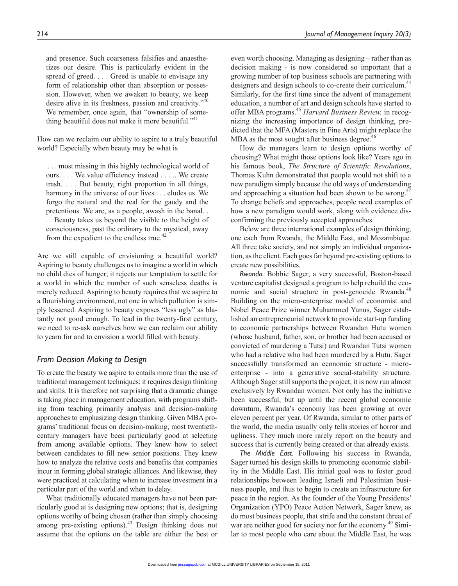and presence. Such coarseness falsifies and anaesthetizes our desire. This is particularly evident in the spread of greed. . . . Greed is unable to envisage any form of relationship other than absorption or possession. However, when we awaken to beauty, we keep desire alive in its freshness, passion and creativity."<sup>40</sup> We remember, once again, that "ownership of something beautiful does not make it more beautiful." $41$ 

How can we reclaim our ability to aspire to a truly beautiful world? Especially when beauty may be what is

 . . . most missing in this highly technological world of ours. . . . We value efficiency instead . . . .. We create trash. . . . But beauty, right proportion in all things, harmony in the universe of our lives . . . eludes us. We forgo the natural and the real for the gaudy and the pretentious. We are, as a people, awash in the banal. . . . Beauty takes us beyond the visible to the height of consciousness, past the ordinary to the mystical, away from the expedient to the endless true.<sup>42</sup>

Are we still capable of envisioning a beautiful world? Aspiring to beauty challenges us to imagine a world in which no child dies of hunger; it rejects our temptation to settle for a world in which the number of such senseless deaths is merely reduced. Aspiring to beauty requires that we aspire to a flourishing environment, not one in which pollution is simply lessened. Aspiring to beauty exposes "less ugly" as blatantly not good enough. To lead in the twenty-first century, we need to re-ask ourselves how we can reclaim our ability to yearn for and to envision a world filled with beauty.

## *From Decision Making to Design*

To create the beauty we aspire to entails more than the use of traditional management techniques; it requires design thinking and skills. It is therefore not surprising that a dramatic change is taking place in management education, with programs shifting from teaching primarily analysis and decision-making approaches to emphasizing design thinking. Given MBA programs' traditional focus on decision-making, most twentiethcentury managers have been particularly good at selecting from among available options. They knew how to select between candidates to fill new senior positions. They knew how to analyze the relative costs and benefits that companies incur in forming global strategic alliances. And likewise, they were practiced at calculating when to increase investment in a particular part of the world and when to delay.

What traditionally educated managers have not been particularly good at is designing new options; that is, designing options worthy of being chosen (rather than simply choosing among pre-existing options). $43$  Design thinking does not assume that the options on the table are either the best or even worth choosing. Managing as designing – rather than as decision making - is now considered so important that a growing number of top business schools are partnering with designers and design schools to co-create their curriculum.<sup>44</sup> Similarly, for the first time since the advent of management education, a number of art and design schools have started to offer MBA programs.<sup>45</sup> *Harvard Business Review,* in recognizing the increasing importance of design thinking, predicted that the MFA (Masters in Fine Arts) might replace the MBA as the most sought after business degree.<sup>46</sup>

How do managers learn to design options worthy of choosing? What might those options look like? Years ago in his famous book, *The Structure of Scientific Revolutions*, Thomas Kuhn demonstrated that people would not shift to a new paradigm simply because the old ways of understanding and approaching a situation had been shown to be wrong.<sup>47</sup> To change beliefs and approaches, people need examples of how a new paradigm would work, along with evidence disconfirming the previously accepted approaches.

Below are three international examples of design thinking; one each from Rwanda, the Middle East, and Mozambique. All three take society, and not simply an individual organization, as the client. Each goes far beyond pre-existing options to create new possibilities.

*Rwanda.* Bobbie Sager, a very successful, Boston-based venture capitalist designed a program to help rebuild the economic and social structure in post-genocide Rwanda.<sup>48</sup> Building on the micro-enterprise model of economist and Nobel Peace Prize winner Muhammed Yunus, Sager established an entrepreneurial network to provide start-up funding to economic partnerships between Rwandan Hutu women (whose husband, father, son, or brother had been accused or convicted of murdering a Tutsi) and Rwandan Tutsi women who had a relative who had been murdered by a Hutu. Sager successfully transformed an economic structure - microenterprise - into a generative social-stability structure. Although Sager still supports the project, it is now run almost exclusively by Rwandan women. Not only has the initiative been successful, but up until the recent global economic downturn, Rwanda's economy has been growing at over eleven percent per year. Of Rwanda, similar to other parts of the world, the media usually only tells stories of horror and ugliness. They much more rarely report on the beauty and success that is currently being created or that already exists.

*The Middle East.* Following his success in Rwanda, Sager turned his design skills to promoting economic stability in the Middle East. His initial goal was to foster good relationships between leading Israeli and Palestinian business people, and thus to begin to create an infrastructure for peace in the region. As the founder of the Young Presidents' Organization (YPO) Peace Action Network, Sager knew, as do most business people, that strife and the constant threat of war are neither good for society nor for the economy.<sup>49</sup> Similar to most people who care about the Middle East, he was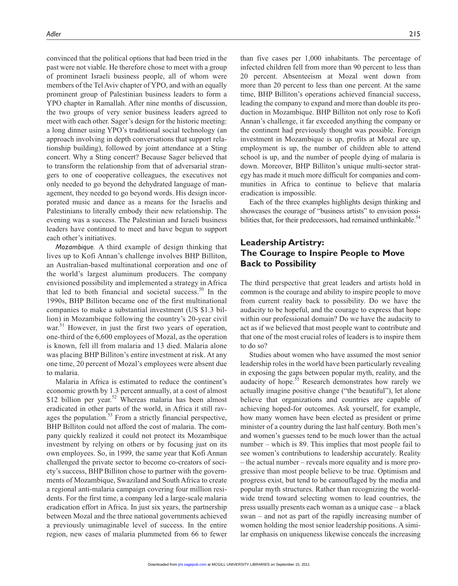convinced that the political options that had been tried in the past were not viable. He therefore chose to meet with a group of prominent Israeli business people, all of whom were members of the Tel Aviv chapter of YPO, and with an equally prominent group of Palestinian business leaders to form a YPO chapter in Ramallah. After nine months of discussion, the two groups of very senior business leaders agreed to meet with each other. Sager's design for the historic meeting: a long dinner using YPO's traditional social technology (an approach involving in depth conversations that support relationship building), followed by joint attendance at a Sting concert. Why a Sting concert? Because Sager believed that to transform the relationship from that of adversarial strangers to one of cooperative colleagues, the executives not only needed to go beyond the dehydrated language of management, they needed to go beyond words. His design incorporated music and dance as a means for the Israelis and Palestinians to literally embody their new relationship. The evening was a success. The Palestinian and Israeli business leaders have continued to meet and have begun to support each other's initiatives.

*Mozambique.* A third example of design thinking that lives up to Kofi Annan's challenge involves BHP Billiton, an Australian-based multinational corporation and one of the world's largest aluminum producers. The company envisioned possibility and implemented a strategy in Africa that led to both financial and societal success. $50$  In the 1990s, BHP Billiton became one of the first multinational companies to make a substantial investment (US \$1.3 billion) in Mozambique following the country's 20-year civil war.<sup>51</sup> However, in just the first two years of operation, one-third of the 6,600 employees of Mozal, as the operation is known, fell ill from malaria and 13 died. Malaria alone was placing BHP Billiton's entire investment at risk. At any one time, 20 percent of Mozal's employees were absent due to malaria.

Malaria in Africa is estimated to reduce the continent's economic growth by 1.3 percent annually, at a cost of almost \$12 billion per year.<sup>52</sup> Whereas malaria has been almost eradicated in other parts of the world, in Africa it still ravages the population.<sup>53</sup> From a strictly financial perspective, BHP Billiton could not afford the cost of malaria. The company quickly realized it could not protect its Mozambique investment by relying on others or by focusing just on its own employees. So, in 1999, the same year that Kofi Annan challenged the private sector to become co-creators of society's success, BHP Billiton chose to partner with the governments of Mozambique, Swaziland and South Africa to create a regional anti-malaria campaign covering four million residents. For the first time, a company led a large-scale malaria eradication effort in Africa. In just six years, the partnership between Mozal and the three national governments achieved a previously unimaginable level of success. In the entire region, new cases of malaria plummeted from 66 to fewer

than five cases per 1,000 inhabitants. The percentage of infected children fell from more than 90 percent to less than 20 percent. Absenteeism at Mozal went down from more than 20 percent to less than one percent. At the same time, BHP Billiton's operations achieved financial success, leading the company to expand and more than double its production in Mozambique. BHP Billiton not only rose to Kofi Annan's challenge, it far exceeded anything the company or the continent had previously thought was possible. Foreign investment in Mozambique is up, profits at Mozal are up, employment is up, the number of children able to attend school is up, and the number of people dying of malaria is down. Moreover, BHP Billiton's unique multi-sector strategy has made it much more difficult for companies and communities in Africa to continue to believe that malaria eradication is impossible.

Each of the three examples highlights design thinking and showcases the courage of "business artists" to envision possibilities that, for their predecessors, had remained unthinkable.<sup>54</sup>

## **Leadership Artistry: The Courage to Inspire People to Move Back to Possibility**

The third perspective that great leaders and artists hold in common is the courage and ability to inspire people to move from current reality back to possibility. Do we have the audacity to be hopeful, and the courage to express that hope within our professional domain? Do we have the audacity to act as if we believed that most people want to contribute and that one of the most crucial roles of leaders is to inspire them to do so?

Studies about women who have assumed the most senior leadership roles in the world have been particularly revealing in exposing the gaps between popular myth, reality, and the audacity of hope.<sup>55</sup> Research demonstrates how rarely we actually imagine positive change ("the beautiful"), let alone believe that organizations and countries are capable of achieving hoped-for outcomes. Ask yourself, for example, how many women have been elected as president or prime minister of a country during the last half century. Both men's and women's guesses tend to be much lower than the actual number – which is 89. This implies that most people fail to see women's contributions to leadership accurately. Reality – the actual number – reveals more equality and is more progressive than most people believe to be true. Optimism and progress exist, but tend to be camouflaged by the media and popular myth structures. Rather than recognizing the worldwide trend toward selecting women to lead countries, the press usually presents each woman as a unique case – a black swan – and not as part of the rapidly increasing number of women holding the most senior leadership positions. A similar emphasis on uniqueness likewise conceals the increasing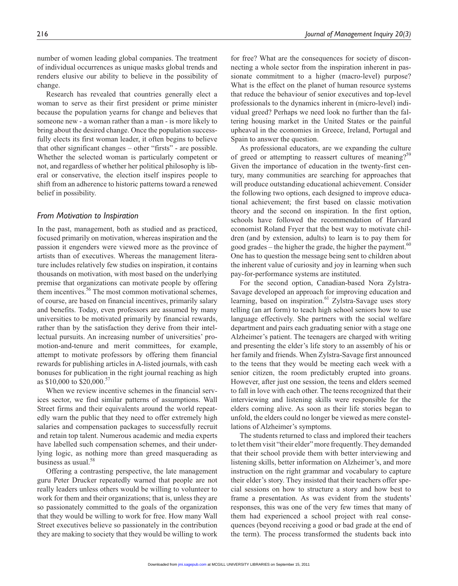number of women leading global companies. The treatment of individual occurrences as unique masks global trends and renders elusive our ability to believe in the possibility of change.

Research has revealed that countries generally elect a woman to serve as their first president or prime minister because the population yearns for change and believes that someone new - a woman rather than a man - is more likely to bring about the desired change. Once the population successfully elects its first woman leader, it often begins to believe that other significant changes – other "firsts" - are possible. Whether the selected woman is particularly competent or not, and regardless of whether her political philosophy is liberal or conservative, the election itself inspires people to shift from an adherence to historic patterns toward a renewed belief in possibility.

#### *From Motivation to Inspiration*

In the past, management, both as studied and as practiced, focused primarily on motivation, whereas inspiration and the passion it engenders were viewed more as the province of artists than of executives. Whereas the management literature includes relatively few studies on inspiration, it contains thousands on motivation, with most based on the underlying premise that organizations can motivate people by offering them incentives.<sup>56</sup> The most common motivational schemes, of course, are based on financial incentives, primarily salary and benefits. Today, even professors are assumed by many universities to be motivated primarily by financial rewards, rather than by the satisfaction they derive from their intellectual pursuits. An increasing number of universities' promotion-and-tenure and merit committees, for example, attempt to motivate professors by offering them financial rewards for publishing articles in A-listed journals, with cash bonuses for publication in the right journal reaching as high as \$10,000 to \$20,000.57

When we review incentive schemes in the financial services sector, we find similar patterns of assumptions. Wall Street firms and their equivalents around the world repeatedly warn the public that they need to offer extremely high salaries and compensation packages to successfully recruit and retain top talent. Numerous academic and media experts have labelled such compensation schemes, and their underlying logic, as nothing more than greed masquerading as business as usual.<sup>58</sup>

Offering a contrasting perspective, the late management guru Peter Drucker repeatedly warned that people are not really leaders unless others would be willing to volunteer to work for them and their organizations; that is, unless they are so passionately committed to the goals of the organization that they would be willing to work for free. How many Wall Street executives believe so passionately in the contribution they are making to society that they would be willing to work for free? What are the consequences for society of disconnecting a whole sector from the inspiration inherent in passionate commitment to a higher (macro-level) purpose? What is the effect on the planet of human resource systems that reduce the behaviour of senior executives and top-level professionals to the dynamics inherent in (micro-level) individual greed? Perhaps we need look no further than the faltering housing market in the United States or the painful upheaval in the economies in Greece, Ireland, Portugal and Spain to answer the question.

As professional educators, are we expanding the culture of greed or attempting to reassert cultures of meaning?<sup>59</sup> Given the importance of education in the twenty-first century, many communities are searching for approaches that will produce outstanding educational achievement. Consider the following two options, each designed to improve educational achievement; the first based on classic motivation theory and the second on inspiration. In the first option, schools have followed the recommendation of Harvard economist Roland Fryer that the best way to motivate children (and by extension, adults) to learn is to pay them for good grades – the higher the grade, the higher the payment.<sup>60</sup> One has to question the message being sent to children about the inherent value of curiosity and joy in learning when such pay-for-performance systems are instituted.

For the second option, Canadian-based Nora Zylstra-Savage developed an approach for improving education and learning, based on inspiration.<sup>61</sup> Zylstra-Savage uses story telling (an art form) to teach high school seniors how to use language effectively. She partners with the social welfare department and pairs each graduating senior with a stage one Alzheimer's patient. The teenagers are charged with writing and presenting the elder's life story to an assembly of his or her family and friends. When Zylstra-Savage first announced to the teens that they would be meeting each week with a senior citizen, the room predictably erupted into groans. However, after just one session, the teens and elders seemed to fall in love with each other. The teens recognized that their interviewing and listening skills were responsible for the elders coming alive. As soon as their life stories began to unfold, the elders could no longer be viewed as mere constellations of Alzheimer's symptoms.

The students returned to class and implored their teachers to let them visit "their elder" more frequently. They demanded that their school provide them with better interviewing and listening skills, better information on Alzheimer's, and more instruction on the right grammar and vocabulary to capture their elder's story. They insisted that their teachers offer special sessions on how to structure a story and how best to frame a presentation. As was evident from the students' responses, this was one of the very few times that many of them had experienced a school project with real consequences (beyond receiving a good or bad grade at the end of the term). The process transformed the students back into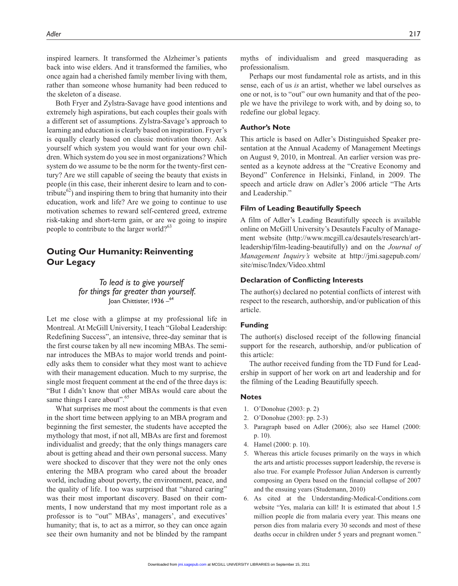inspired learners. It transformed the Alzheimer's patients back into wise elders. And it transformed the families, who once again had a cherished family member living with them, rather than someone whose humanity had been reduced to the skeleton of a disease.

Both Fryer and Zylstra-Savage have good intentions and extremely high aspirations, but each couples their goals with a different set of assumptions. Zylstra-Savage's approach to learning and education is clearly based on inspiration. Fryer's is equally clearly based on classic motivation theory. Ask yourself which system you would want for your own children. Which system do you see in most organizations? Which system do we assume to be the norm for the twenty-first century? Are we still capable of seeing the beauty that exists in people (in this case, their inherent desire to learn and to contribute<sup>62</sup>) and inspiring them to bring that humanity into their education, work and life? Are we going to continue to use motivation schemes to reward self-centered greed, extreme risk-taking and short-term gain, or are we going to inspire people to contribute to the larger world?<sup>63</sup>

## **Outing Our Humanity: Reinventing Our Legacy**

*To lead is to give yourself for things far greater than yourself.* Joan Chittister, 1936 - 64

Let me close with a glimpse at my professional life in Montreal. At McGill University, I teach "Global Leadership: Redefining Success", an intensive, three-day seminar that is the first course taken by all new incoming MBAs. The seminar introduces the MBAs to major world trends and pointedly asks them to consider what they most want to achieve with their management education. Much to my surprise, the single most frequent comment at the end of the three days is: "But I didn't know that other MBAs would care about the same things I care about".<sup>65</sup>

What surprises me most about the comments is that even in the short time between applying to an MBA program and beginning the first semester, the students have accepted the mythology that most, if not all, MBAs are first and foremost individualist and greedy; that the only things managers care about is getting ahead and their own personal success. Many were shocked to discover that they were not the only ones entering the MBA program who cared about the broader world, including about poverty, the environment, peace, and the quality of life. I too was surprised that "shared caring" was their most important discovery. Based on their comments, I now understand that my most important role as a professor is to "out" MBAs', managers', and executives' humanity; that is, to act as a mirror, so they can once again see their own humanity and not be blinded by the rampant

Perhaps our most fundamental role as artists, and in this sense, each of us *is* an artist, whether we label ourselves as one or not, is to "out" our own humanity and that of the people we have the privilege to work with, and by doing so, to redefine our global legacy.

## **Author's Note**

This article is based on Adler's Distinguished Speaker presentation at the Annual Academy of Management Meetings on August 9, 2010, in Montreal. An earlier version was presented as a keynote address at the "Creative Economy and Beyond" Conference in Helsinki, Finland, in 2009. The speech and article draw on Adler's 2006 article "The Arts and Leadership."

#### **Film of Leading Beautifully Speech**

A film of Adler's Leading Beautifully speech is available online on McGill University's Desautels Faculty of Management website (http://www.mcgill.ca/desautels/research/artleadership/film-leading-beautifully) and on the *Journal of Management Inquiry's* website at http://jmi.sagepub.com/ site/misc/Index/Video.xhtml

## **Declaration of Conflicting Interests**

The author(s) declared no potential conflicts of interest with respect to the research, authorship, and/or publication of this article.

## **Funding**

The author(s) disclosed receipt of the following financial support for the research, authorship, and/or publication of this article:

The author received funding from the TD Fund for Leadership in support of her work on art and leadership and for the filming of the Leading Beautifully speech.

## **Notes**

- 1. O'Donohue (2003: p. 2)
- 2. O'Donohue (2003: pp. 2-3)
- 3. Paragraph based on Adler (2006); also see Hamel (2000: p. 10).
- 4. Hamel (2000: p. 10).
- 5. Whereas this article focuses primarily on the ways in which the arts and artistic processes support leadership, the reverse is also true. For example Professor Julian Anderson is currently composing an Opera based on the financial collapse of 2007 and the ensuing years (Studemann, 2010)
- 6. As cited at the Understanding-Medical-Conditions.com website "Yes, malaria can kill! It is estimated that about 1.5 million people die from malaria every year. This means one person dies from malaria every 30 seconds and most of these deaths occur in children under 5 years and pregnant women."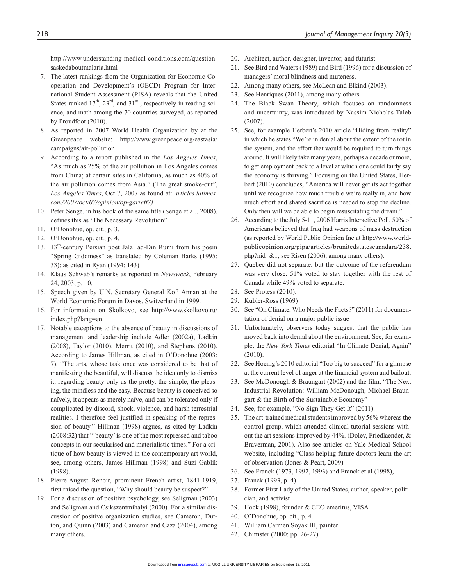http://www.understanding-medical-conditions.com/questionsaskedaboutmalaria.html

- 7. The latest rankings from the Organization for Economic Cooperation and Development's (OECD) Program for International Student Assessment (PISA) reveals that the United States ranked  $17<sup>th</sup>$ ,  $23<sup>rd</sup>$ , and  $31<sup>st</sup>$ , respectively in reading science, and math among the 70 countries surveyed, as reported by Proudfoot (2010).
- 8. As reported in 2007 World Health Organization by at the Greenpeace website: http://www.greenpeace.org/eastasia/ campaigns/air-pollution
- 9. According to a report published in the *Los Angeles Times*, "As much as 25% of the air pollution in Los Angeles comes from China; at certain sites in California, as much as 40% of the air pollution comes from Asia." (The great smoke-out", *Los Angeles Times*, Oct 7, 2007 as found at: *articles.latimes. com/2007/oct/07/opinion/op-garrett7)*
- 10. Peter Senge, in his book of the same title (Senge et al., 2008), defines this as 'The Necessary Revolution".
- 11. O'Donohue, op. cit., p. 3.
- 12. O'Donohue, op. cit., p. 4.
- 13. 13<sup>th</sup>-century Persian poet Jalal ad-Din Rumi from his poem "Spring Giddiness" as translated by Coleman Barks (1995: 33); as cited in Ryan (1994: 143)
- 14. Klaus Schwab's remarks as reported in *Newsweek*, February 24, 2003, p. 10.
- 15. Speech given by U.N. Secretary General Kofi Annan at the World Economic Forum in Davos, Switzerland in 1999.
- 16. For information on Skolkovo, see http://www.skolkovo.ru/ index.php?lang=en
- 17. Notable exceptions to the absence of beauty in discussions of management and leadership include Adler (2002a), Ladkin (2008), Taylor (2010), Merrit (2010), and Stephens (2010). According to James Hillman, as cited in O'Donohue (2003: 7), "The arts, whose task once was considered to be that of manifesting the beautiful, will discuss the idea only to dismiss it, regarding beauty only as the pretty, the simple, the pleasing, the mindless and the easy. Because beauty is conceived so naïvely, it appears as merely naïve, and can be tolerated only if complicated by discord, shock, violence, and harsh terrestrial realities. I therefore feel justified in speaking of the repression of beauty." Hillman (1998) argues, as cited by Ladkin (2008:32) that "'beauty' is one of the most repressed and taboo concepts in our secularised and materialistic times." For a critique of how beauty is viewed in the contemporary art world, see, among others, James Hillman (1998) and Suzi Gablik (1998).
- 18. Pierre-August Renoir, prominent French artist, 1841-1919, first raised the question, "Why should beauty be suspect?"
- 19. For a discussion of positive psychology, see Seligman (2003) and Seligman and Csikszentmihalyi (2000). For a similar discussion of positive organization studies, see Cameron, Dutton, and Quinn (2003) and Cameron and Caza (2004), among many others.
- 20. Architect, author, designer, inventor, and futurist
- 21. See Bird and Waters (1989) and Bird (1996) for a discussion of managers' moral blindness and muteness.
- 22. Among many others, see McLean and Elkind (2003).
- 23. See Henriques (2011), among many others.
- 24. The Black Swan Theory, which focuses on randomness and uncertainty, was introduced by Nassim Nicholas Taleb (2007).
- 25. See, for example Herbert's 2010 article "Hiding from reality" in which he states "We're in denial about the extent of the rot in the system, and the effort that would be required to turn things around. It will likely take many years, perhaps a decade or more, to get employment back to a level at which one could fairly say the economy is thriving." Focusing on the United States, Herbert (2010) concludes, "America will never get its act together until we recognize how much trouble we're really in, and how much effort and shared sacrifice is needed to stop the decline. Only then will we be able to begin resuscitating the dream."
- 26. According to the July 5-11, 2006 Harris Interactive Poll, 50% of Americans believed that Iraq had weapons of mass destruction (as reported by World Public Opinion Inc at http://www.worldpublicopinion.org/pipa/articles/brunitedstatescanadara/238. php?nid=&1; see Risen (2006), among many others).
- 27. Quebec did not separate, but the outcome of the referendum was very close: 51% voted to stay together with the rest of Canada while 49% voted to separate.
- 28. See Protess (2010).
- 29. Kubler-Ross (1969)
- 30. See "On Climate, Who Needs the Facts?" (2011) for documentation of denial on a major public issue
- 31. Unfortunately, observers today suggest that the public has moved back into denial about the environment. See, for example, the *New York Times* editorial "In Climate Denial, Again" (2010).
- 32. See Hoenig's 2010 editorial "Too big to succeed" for a glimpse at the current level of anger at the financial system and bailout.
- 33. See McDonough & Braungart (2002) and the film, "The Next Industrial Revolution: William McDonough, Michael Braungart & the Birth of the Sustainable Economy"
- 34. See, for example, "No Sign They Get It" (2011).
- 35. The art-trained medical students improved by 56% whereas the control group, which attended clinical tutorial sessions without the art sessions improved by 44%. (Dolev, Friedlaender, & Braverman, 2001). Also see articles on Yale Medical School website, including "Class helping future doctors learn the art of observation (Jones & Peart, 2009)
- 36. See Franck (1973, 1992, 1993) and Franck et al (1998),
- 37. Franck (1993, p. 4)
- 38. Former First Lady of the United States, author, speaker, politician, and activist
- 39. Hock (1998), founder & CEO emeritus, VISA
- 40. O'Donohue, op. cit., p. 4.
- 41. William Carmen Soyak III, painter
- 42. Chittister (2000: pp. 26-27).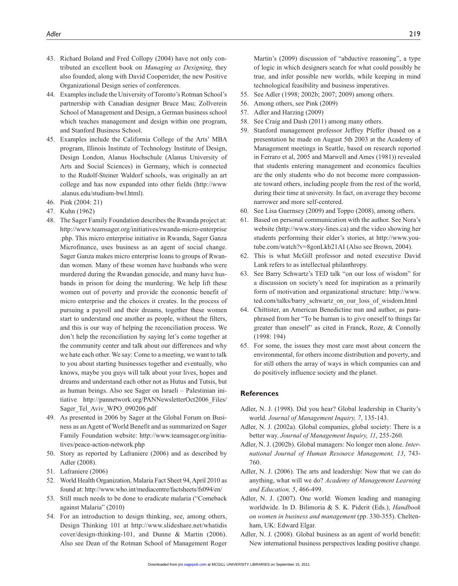- 43. Richard Boland and Fred Collopy (2004) have not only contributed an excellent book on *Managing as Designing*, they also founded, along with David Cooperrider, the new Positive Organizational Design series of conferences.
- 44. Examples include the University of Toronto's Rotman School's partnership with Canadian designer Bruce Mau; Zollverein School of Management and Design, a German business school which teaches management and design within one program, and Stanford Business School.
- 45. Examples include the California College of the Arts' MBA program, Illinois Institute of Technology Institute of Design, Design London, Alanus Hochschule (Alanus University of Arts and Social Sciences) in Germany, which is connected to the Rudolf-Steiner Waldorf schools, was originally an art college and has now expanded into other fields (http://www .alanus.edu/studium-bwl.html).
- 46. Pink (2004: 21)
- 47. Kuhn (1962)
- 48. The Sager Family Foundation describes the Rwanda project at: http://www.teamsager.org/initiatives/rwanda-micro-enterprise .php. This micro enterprise initiative in Rwanda, Sager Ganza Microfinance, uses business as an agent of social change. Sager Ganza makes micro enterprise loans to groups of Rwandan women. Many of these women have husbands who were murdered during the Rwandan genocide, and many have husbands in prison for doing the murdering. We help lift these women out of poverty and provide the economic benefit of micro enterprise and the choices it creates. In the process of pursuing a payroll and their dreams, together these women start to understand one another as people, without the filters, and this is our way of helping the reconciliation process. We don't help the reconciliation by saying let's come together at the community center and talk about our differences and why we hate each other. We say: Come to a meeting, we want to talk to you about starting businesses together and eventually, who knows, maybe you guys will talk about your lives, hopes and dreams and understand each other not as Hutus and Tutsis, but as human beings. Also see Sager on Israeli – Palestinian initiative http://pannetwork.org/PANNewsletterOct2006\_Files/ Sager\_Tel\_Aviv\_WPO\_090206.pdf
- 49. As presented in 2006 by Sager at the Global Forum on Business as an Agent of World Benefit and as summarized on Sager Family Foundation website: http://www.teamsager.org/initiatives/peace-action-network.php
- 50. Story as reported by Lafraniere (2006) and as described by Adler (2008).
- 51. Lafraniere (2006)
- 52. World Health Organization, Malaria Fact Sheet 94, April 2010 as found at: http://www.who.int/mediacentre/factsheets/fs094/en/
- 53. Still much needs to be done to eradicate malaria ("Comeback against Malaria" (2010)
- 54. For an introduction to design thinking, see, among others, Design Thinking 101 at http://www.slideshare.net/whatidis cover/design-thinking-101, and Dunne & Martin (2006). Also see Dean of the Rotman School of Management Roger

Martin's (2009) discussion of "abductive reasoning", a type of logic in which designers search for what could possibly be true, and infer possible new worlds, while keeping in mind technological feasibility and business imperatives.

- 55. See Adler (1998; 2002b; 2007; 2009) among others.
- 56. Among others, see Pink (2009)
- 57. Adler and Harzing (2009)
- 58. See Craig and Dash (2011) among many others.
- 59. Stanford management professor Jeffrey Pfeffer (based on a presentation he made on August 5th 2003 at the Academy of Management meetings in Seattle, based on research reported in Ferraro et al, 2005 and Marwell and Ames (1981)) revealed that students entering management and economics faculties are the only students who do not become more compassionate toward others, including people from the rest of the world, during their time at university. In fact, on average they become narrower and more self-centered.
- 60. See Lisa Guernsey (2009) and Toppo (2008), among others.
- 61. Based on personal communication with the author. See Nora's website (http://www.story-lines.ca) and the video showing her students performing their elder's stories, at http://www.youtube.com/watch?v=8gonLkb21AI (Also see Brown, 2004).
- 62. This is what McGill professor and noted executive David Lank refers to as intellectual philanthropy.
- 63. See Barry Schwartz's TED talk "on our loss of wisdom" for a discussion on society's need for inspiration as a primarily form of motivation and organizational structure: http://www. ted.com/talks/barry\_schwartz\_on\_our\_loss\_of\_wisdom.html
- 64. Chittister, an American Benedictine nun and author, as paraphrased from her "To be human is to give oneself to things far greater than oneself" as cited in Franck, Roze, & Connolly (1998: 194)
- 65. For some, the issues they most care most about concern the environmental, for others income distribution and poverty, and for still others the array of ways in which companies can and do positively influence society and the planet.

#### **References**

- Adler, N. J. (1998). Did you hear? Global leadership in Charity's world. *Journal of Management Inquiry, 7*, 135-143.
- Adler, N. J. (2002a). Global companies, global society: There is a better way. *Journal of Management Inquiry, 11*, 255-260.
- Adler, N. J. (2002b). Global managers: No longer men alone. *International Journal of Human Resource Management, 13*, 743- 760.
- Adler, N. J. (2006). The arts and leadership: Now that we can do anything, what will we do? *Academy of Management Learning and Education, 5*, 466-499.
- Adler, N. J. (2007). One world: Women leading and managing worldwide. In D. Bilimoria & S. K. Piderit (Eds.), *Handbook on women in business and management* (pp. 330-355). Cheltenham, UK: Edward Elgar.
- Adler, N. J. (2008). Global business as an agent of world benefit: New international business perspectives leading positive change.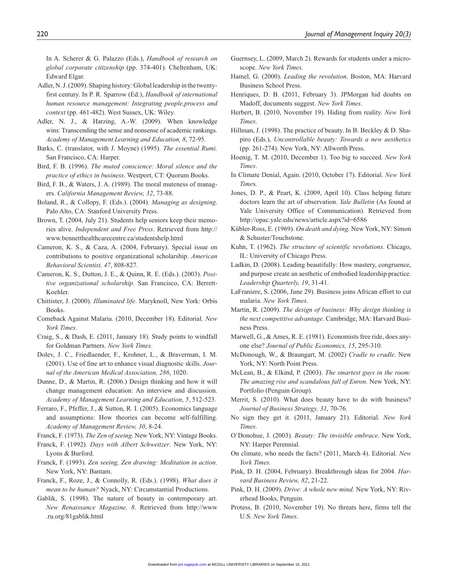In A. Scherer & G. Palazzo (Eds.), *Handbook of research on global corporate citizenship* (pp. 374-401). Cheltenham, UK: Edward Elgar.

- Adler, N. J. (2009). Shaping history: Global leadership in the twentyfirst century. In P. R. Sparrow (Ed.), *Handbook of international human resource management: Integrating people,process and context* (pp. 461-482). West Sussex, UK: Wiley.
- Adler, N. J., & Harzing, A.-W. (2009). When knowledge wins: Transcending the sense and nonsense of academic rankings. *Academy of Management Learning and Education, 8*, 72-95.
- Barks, C. (translator, with J. Moyne) (1995). *The essential Rumi.*  San Francisco, CA: Harper.
- Bird, F. B. (1996). *The muted conscience: Moral silence and the practice of ethics in business*. Westport, CT: Quorum Books.
- Bird, F. B., & Waters, J. A. (1989). The moral muteness of managers. *California Management Review, 32*, 73-88.
- Boland, R., & Collopy, F. (Eds.). (2004). *Managing as designing*. Palo Alto, CA: Stanford University Press.
- Brown, T. (2004, July 21). Students help seniors keep their memories alive. *Independent and Free Press*. Retrieved from http:// www.bennetthealthcarecentre.ca/studentshelp.html
- Cameron, K. S., & Caza, A. (2004, February). Special issue on contributions to positive organizational scholarship. *American Behavioral Scientist, 47*, 808-827.
- Cameron, K. S., Dutton, J. E., & Quinn, R. E. (Eds.). (2003). *Positive organizational scholarship*. San Francisco, CA: Berrett-Koehler.
- Chittister, J. (2000). *Illuminated life*. Maryknoll, New York: Orbis Books.
- Comeback Against Malaria. (2010, December 18). Editorial. *New York Times*.
- Craig, S., & Dash, E. (2011, January 18). Study points to windfall for Goldman Partners. *New York Times*.
- Dolev, J. C., Friedlaender, F., Krohner, L., & Braverman, I. M. (2001). Use of fine art to enhance visual diagnostic skills. *Journal of the American Medical Association, 286*, 1020.
- Dunne, D., & Martin, R. (2006.) Design thinking and how it will change management education: An interview and discussion. *Academy of Management Learning and Education*, *5*, 512-523.
- Ferraro, F., Pfeffer, J., & Sutton, R. I. (2005). Economics language and assumptions: How theories can become self-fulfilling. *Academy of Management Review, 30*, 8-24.
- Franck, F. (1973). *The Zen of seeing*. New York, NY: Vintage Books.
- Franck, F. (1992). *Days with Albert Schweitzer*. New York, NY: Lyons & Burford.
- Franck, F. (1993). *Zen seeing, Zen drawing: Meditation in action*. New York, NY: Bantam.
- Franck, F., Roze, J., & Connolly, R. (Eds.). (1998). *What does it mean to be human?* Nyack, NY: Circumstantial Productions.
- Gablik, S. (1998). The nature of beauty in contemporary art. *New Renaissance Magazine, 8*. Retrieved from http://www .ru.org/81gablik.html
- Guernsey, L. (2009, March 2). Rewards for students under a microscope. *New York Times*.
- Hamel, G. (2000). *Leading the revolution*. Boston, MA: Harvard Business School Press.
- Henriques, D. B. (2011, February 3). JPMorgan hid doubts on Madoff, documents suggest. *New York Times*.
- Herbert, B. (2010, November 19). Hiding from reality. *New York Times*.
- Hillman, J. (1998). The practice of beauty. In B. Beckley & D. Shapiro (Eds.), *Uncontrollable beauty: Towards a new aesthetics*  (pp. 261-274). New York, NY: Allworth Press.
- Hoenig, T. M. (2010, December 1). Too big to succeed. *New York Times*.
- In Climate Denial, Again. (2010, October 17). Editorial. *New York Time*s.
- Jones, D. P., & Peart, K. (2009, April 10). Class helping future doctors learn the art of observation. *Yale Bulletin* (As found at Yale University Office of Communication). Retrieved from http://opac.yale.edu/news/article.aspx?id=6586
- Kübler-Ross, E. (1969). *On death and dying*. New York, NY: Simon & Schuster/Touchstone.
- Kuhn, T. (1962). *The structure of scientific revolutions*. Chicago, IL: University of Chicago Press.
- Ladkin, D. (2008). Leading beautifully: How mastery, congruence, and purpose create an aesthetic of embodied leadership practice. *Leadership Quarterly, 19*, 31-41.
- LaFraniere, S. (2006, June 29). Business joins African effort to cut malaria. *New York Times*.
- Martin, R. (2009). *The design of business: Why design thinking is the next competitive advantage*. Cambridge, MA: Harvard Business Press.
- Marwell, G., & Ames, R. E. (1981). Economists free ride, does anyone else? *Journal of Public Economics, 15*, 295-310.
- McDonough, W., & Braungart, M. (2002) *Cradle to cradle*. New York, NY: North Point Press.
- McLean, B., & Elkind, P. (2003). *The smartest guys in the room: The amazing rise and scandalous fall of Enron*. New York, NY: Portfolio (Penguin Group).
- Merrit, S. (2010). What does beauty have to do with business? *Journal of Business Strategy, 31*, 70-76.
- No sign they get it. (2011, January 21). Editorial. *New York Times*.
- O'Donohue, J. (2003). *Beauty: The invisible embrace*. New York, NY: Harper Perennial.
- On climate, who needs the facts? (2011, March 4). Editorial. *New York Times.*
- Pink, D. H. (2004, February). Breakthrough ideas for 2004. *Harvard Business Review, 82*, 21-22.
- Pink, D. H. (2009). *Drive: A whole new mind*. New York, NY: Riverhead Books, Penguin.
- Protess, B. (2010, November 19). No threats here, firms tell the U.S. *New York Times*.